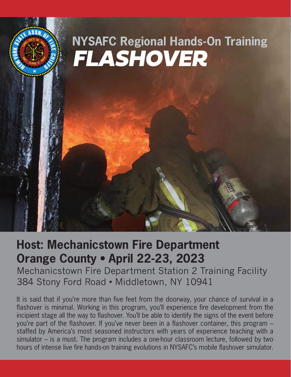

# **Host: Mechanicstown Fire Department Orange County • April 22-23, 2023**

Mechanicstown Fire Department Station 2 Training Facility 384 Stony Ford Road • Middletown, NY 10941

It is said that if you're more than five feet from the doorway, your chance of survival in a flashover is minimal. Working in this program, you'll experience fire development from the incipient stage all the way to flashover. You'll be able to identify the signs of the event before you're part of the flashover. If you've never been in a flashover container, this program – staffed by America's most seasoned instructors with years of experience teaching with a simulator – is a must. The program includes a one-hour classroom lecture, followed by two hours of intense live fire hands-on training evolutions in NYSAFC's mobile flashover simulator.